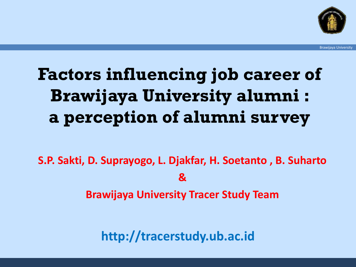

### **Factors influencing job career of Brawijaya University alumni : a perception of alumni survey**

**S.P. Sakti, D. Suprayogo, L. Djakfar, H. Soetanto , B. Suharto & Brawijaya University Tracer Study Team**

**http://tracerstudy.ub.ac.id**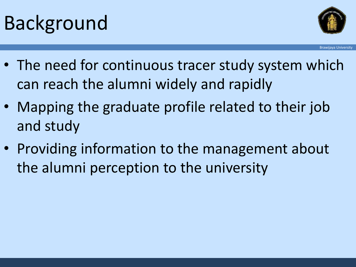## Background



- The need for continuous tracer study system which can reach the alumni widely and rapidly
- Mapping the graduate profile related to their job and study
- Providing information to the management about the alumni perception to the university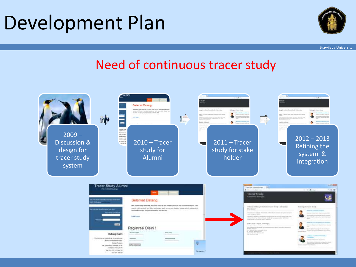### Development Plan



Brawijaya University

### Need of continuous tracer study

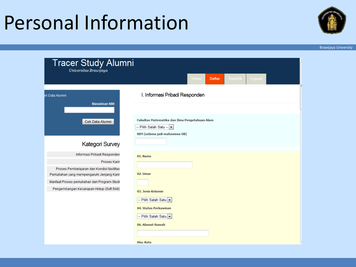### Personal Information



| <b>Tracer Study Alumni</b><br>Universitas Brawijaya                                        |                                                                                                               |
|--------------------------------------------------------------------------------------------|---------------------------------------------------------------------------------------------------------------|
|                                                                                            | <b>Daftar</b><br><b>Statistik</b><br>Home<br>Logout                                                           |
| ek Data Alumni<br><b>Masukkan NIM</b>                                                      | I. Informasi Pribadi Responden                                                                                |
| Cek Data Alumni                                                                            | Fakultas Matematika dan Ilmu Pengetahuan Alam<br>-- Pilih Salah Satu --   ≖<br>NIM (selama jadi mahasiswa UB) |
| Kategori Survey                                                                            |                                                                                                               |
| Informasi Pribadi Responden<br><b>Proses Karir</b>                                         | 01. Nama                                                                                                      |
| Proses Pembelajaran dan Kondisi fasilitas<br>Perkuliahan yang mempengaruhi Jenjang Karir   | 02. Umur                                                                                                      |
| Manfaat Proses perkuliahan dari Program Studi<br>Pengembangan Kecakapan Hidup (Soft Skill) |                                                                                                               |
|                                                                                            | 03. Jenis Kelamin<br>-- Pilih Salah Satu                                                                      |
|                                                                                            | 04. Status Perkawinan                                                                                         |
|                                                                                            | -- Pilih Salah Satu  <br>06. Alamat Rumah                                                                     |
|                                                                                            |                                                                                                               |
|                                                                                            | 06a. Kota                                                                                                     |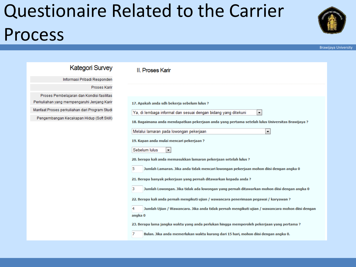### Questionaire Related to the Carrier Process



| <b>Brawijaya University</b> |
|-----------------------------|
|                             |

| <b>Kategori Survey</b>                                                                                                                                                                 | II. Proses Karir                                                                                                                                                                                                                                                                                                                                                                                                                                                                                                                                                                                                                                                                                                                                                                                                                                                                                                                          |
|----------------------------------------------------------------------------------------------------------------------------------------------------------------------------------------|-------------------------------------------------------------------------------------------------------------------------------------------------------------------------------------------------------------------------------------------------------------------------------------------------------------------------------------------------------------------------------------------------------------------------------------------------------------------------------------------------------------------------------------------------------------------------------------------------------------------------------------------------------------------------------------------------------------------------------------------------------------------------------------------------------------------------------------------------------------------------------------------------------------------------------------------|
| Informasi Pribadi Responden                                                                                                                                                            |                                                                                                                                                                                                                                                                                                                                                                                                                                                                                                                                                                                                                                                                                                                                                                                                                                                                                                                                           |
| <b>Proses Karir</b>                                                                                                                                                                    |                                                                                                                                                                                                                                                                                                                                                                                                                                                                                                                                                                                                                                                                                                                                                                                                                                                                                                                                           |
| Proses Pembelajaran dan Kondisi fasilitas<br>Perkuliahan yang mempengaruhi Jenjang Karir<br>Manfaat Proses perkuliahan dari Program Studi<br>Pengembangan Kecakapan Hidup (Soft Skill) | 17. Apakah anda sdh bekerja sebelum lulus?<br>Ya, di lembaga informal dan sesuai dengan bidang yang ditekuni<br>$\blacktriangledown$<br>18. Bagaimana anda mendapatkan pekerjaan anda yang pertama setelah lulus Universitas Brawijaya ?<br>Melalui lamaran pada lowongan pekerjaan<br>$\overline{\phantom{a}}$<br>19. Kapan anda mulai mencari pekerjaan?<br>Sebelum lulus<br>▼.<br>20. berapa kali anda memasukkan lamaran pekerjaan setelah lulus ?<br>5<br>Jumlah Lamaran. Jika anda tidak mencari lowongan pekerjaan mohon diisi dengan angka 0<br>21. Berapa banyak pekerjaan yang pernah ditawarkan kepada anda ?<br>з<br>Jumlah Lowongan. Jika tidak ada lowongan yang pernah ditawarkan mohon diisi dengan angka 0<br>22. Berapa kali anda pernah mengikuti ujian / wawancara penerimaan pegawai / karyawan ?<br>Jumlah Ujian / Wawancara. Jika anda tidak pernah mengikuti ujian / wawancara mohon diisi dengan<br>4<br>angka 0 |
|                                                                                                                                                                                        | 23. Berapa lama jangka waktu yang anda perlukan hingga memperoleh pekerjaan yang pertama ?<br>Bulan. Jika anda memerlukan waktu kurang dari 15 hari, mohon diisi dengan angka 0.<br>7                                                                                                                                                                                                                                                                                                                                                                                                                                                                                                                                                                                                                                                                                                                                                     |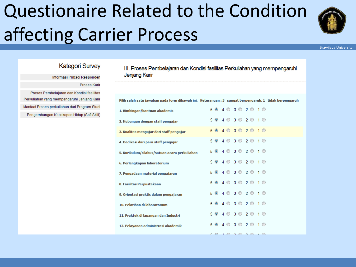### Questionaire Related to the Condition affecting Carrier Process



Brawijaya University

#### **Kategori Survey**

#### Informasi Pribadi Responden

Proses Karir

Proses Pembelajaran dan Kondisi fasilitas Perkuliahan yang mempengaruhi Jenjang Karir Manfaat Proses perkuliahan dari Program Studi Pengembangan Kecakapan Hidup (Soft Skill) III. Proses Pembelajaran dan Kondisi fasilitas Perkuliahan yang mempengaruhi Jenjang Karir

Pilih salah satu jawaban pada form dibawah ini. Keterangan : 5=sangat berpengaruh, 1=tidak berpengaruh

| 1. Bimbingan/bantuan akademis                 |  | 5040302010        |  |  |  |
|-----------------------------------------------|--|-------------------|--|--|--|
| 2. Hubungan dengan staff pengajar             |  | 5040302010        |  |  |  |
| 3. Kualitas mengajar dari staff pengajar      |  | 5040302010        |  |  |  |
| 4. Dedikasi dari para staff pengajar          |  | 5040302010        |  |  |  |
| 5. Kurikulum/silabus/satuan acara perkuliahan |  | 5040302010        |  |  |  |
| 6. Perlengkapan laboratorium                  |  | 5040302010        |  |  |  |
| 7. Pengadaan material pengajaran              |  | 5040302010        |  |  |  |
| 8. Fasilitas Perpustakaan                     |  | 5040302010        |  |  |  |
| 9. Orientasi praktis dalam pengajaran         |  | 5040302010        |  |  |  |
| 10. Pelatihan di laboratorium                 |  | 5040302010        |  |  |  |
| 11. Praktek di lapangan dan Industri          |  | 5040302010        |  |  |  |
| 12. Pelayanan administrasi akademik           |  | 5040302010        |  |  |  |
|                                               |  | <b>FAIRARARIA</b> |  |  |  |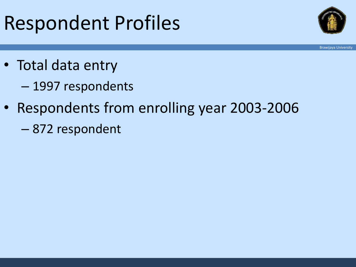### Respondent Profiles



- Total data entry
	- 1997 respondents
- Respondents from enrolling year 2003-2006
	- 872 respondent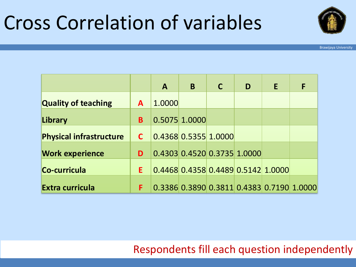### Cross Correlation of variables



|                                |          | $\mathbf{A}$ | B                           | $\mathsf{C}$ | D | E                                         | F |
|--------------------------------|----------|--------------|-----------------------------|--------------|---|-------------------------------------------|---|
| <b>Quality of teaching</b>     | A        | 1.0000       |                             |              |   |                                           |   |
| Library                        | <b>B</b> |              | 0.5075 1.0000               |              |   |                                           |   |
| <b>Physical infrastructure</b> | C.       |              | 0.4368 0.5355 1.0000        |              |   |                                           |   |
| <b>Work experience</b>         | D        |              | 0.4303 0.4520 0.3735 1.0000 |              |   |                                           |   |
| <b>Co-curricula</b>            | E.       |              |                             |              |   | 0.4468 0.4358 0.4489 0.5142 1.0000        |   |
| Extra curricula                | F.       |              |                             |              |   | 0.3386 0.3890 0.3811 0.4383 0.7190 1.0000 |   |

Respondents fill each question independently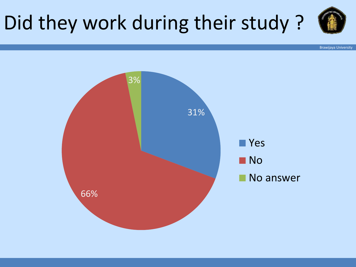# Did they work during their study ?

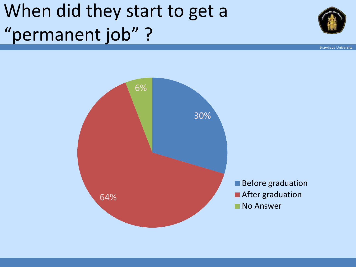### When did they start to get a "permanent job" ?





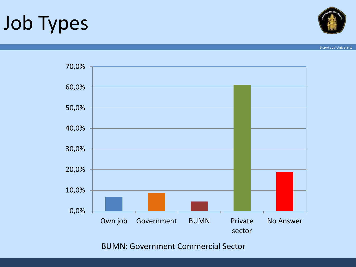## Job Types



Brawijaya University



BUMN: Government Commercial Sector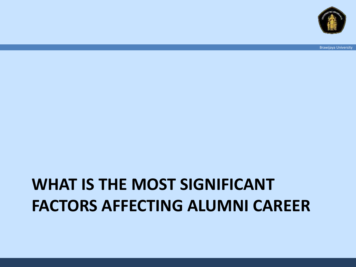### **WHAT IS THE MOST SIGNIFICANT FACTORS AFFECTING ALUMNI CAREER**

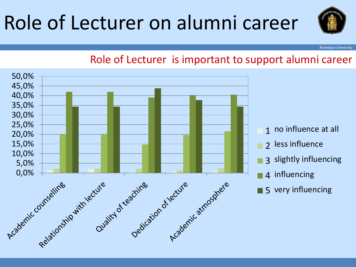## Role of Lecturer on alumni career



Brawijaya University

#### 50,0% 45,0% 40,0% 35,0% 30,0% 25,0% 1 20,0% 15,0% 2 less influence 10,0% 3 slightly influencing 5,0% 0,0% / Lime outrestines 4 influencing Dedication of lecture A lecture expressive Cubaity of reaching 5 very influencing

#### Role of Lecturer is important to support alumni career

- no influence at all
-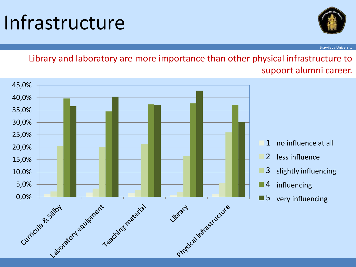## Infrastructure



Brawijaya University

#### Library and laboratory are more importance than other physical infrastructure to supoort alumni career.

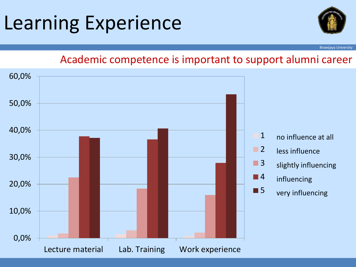### Learning Experience



Brawijaya University

#### Academic competence is important to support alumni career

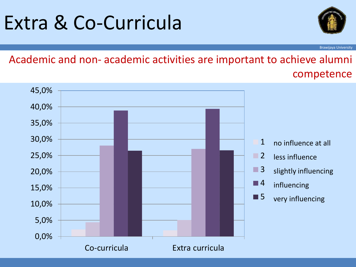### Extra & Co-Curricula



Brawijaya University

### Academic and non- academic activities are important to achieve alumni competence

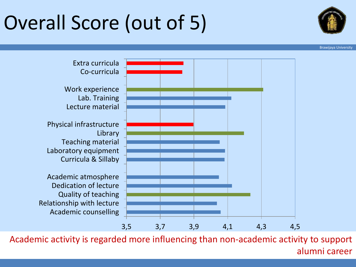## Overall Score (out of 5)



Brawijaya University



Academic activity is regarded more influencing than non-academic activity to support alumni career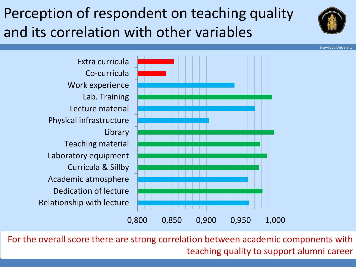### Perception of respondent on teaching quality and its correlation with other variables



Brawijaya University

Relationship with lecture Dedication of lecture Academic atmosphere Curricula & Sillby Laboratory equipment Teaching material Library Physical infrastructure Lecture material Lab. Training Work experience Co-curricula Extra curricula



For the overall score there are strong correlation between academic components with teaching quality to support alumni career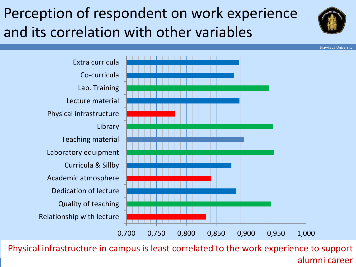### Perception of respondent on work experience and its correlation with other variables



Brawijaya University



Physical infrastructure in campus is least correlated to the work experience to support alumni career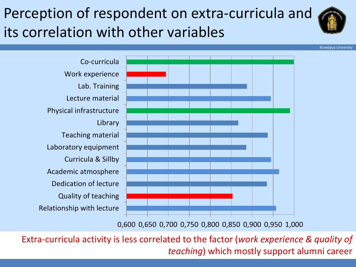### Perception of respondent on extra-curricula and its correlation with other variables



Brawijaya University



0,600 0,650 0,700 0,750 0,800 0,850 0,900 0,950 1,000

Extra-curricula activity is less correlated to the factor (*work experience & quality of teaching*) which mostly support alumni career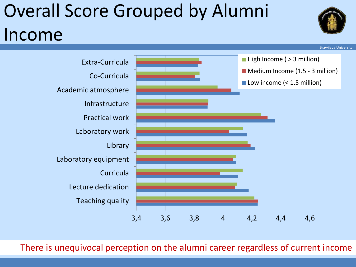### Overall Score Grouped by Alumni Income



There is unequivocal perception on the alumni career regardless of current income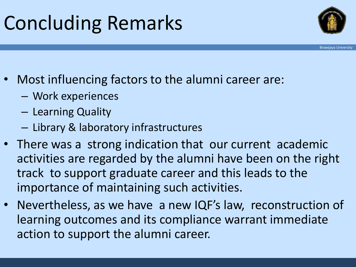## Concluding Remarks



- Most influencing factors to the alumni career are:
	- Work experiences
	- Learning Quality
	- Library & laboratory infrastructures
- There was a strong indication that our current academic activities are regarded by the alumni have been on the right track to support graduate career and this leads to the importance of maintaining such activities.
- Nevertheless, as we have a new IQF's law, reconstruction of learning outcomes and its compliance warrant immediate action to support the alumni career.